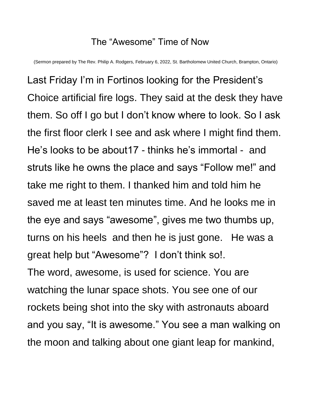## The "Awesome" Time of Now

(Sermon prepared by The Rev. Philip A. Rodgers, February 6, 2022, St. Bartholomew United Church, Brampton, Ontario)

Last Friday I'm in Fortinos looking for the President's Choice artificial fire logs. They said at the desk they have them. So off I go but I don't know where to look. So I ask the first floor clerk I see and ask where I might find them. He's looks to be about17 - thinks he's immortal - and struts like he owns the place and says "Follow me!" and take me right to them. I thanked him and told him he saved me at least ten minutes time. And he looks me in the eye and says "awesome", gives me two thumbs up, turns on his heels and then he is just gone. He was a great help but "Awesome"? I don't think so!. The word, awesome, is used for science. You are watching the lunar space shots. You see one of our rockets being shot into the sky with astronauts aboard and you say, "It is awesome." You see a man walking on the moon and talking about one giant leap for mankind,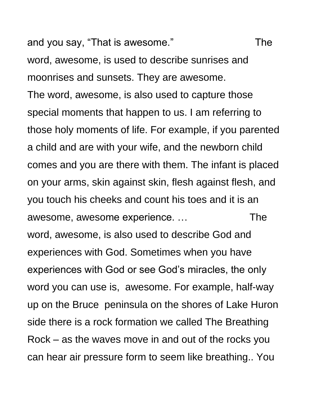and you say, "That is awesome." The

word, awesome, is used to describe sunrises and moonrises and sunsets. They are awesome. The word, awesome, is also used to capture those special moments that happen to us. I am referring to those holy moments of life. For example, if you parented a child and are with your wife, and the newborn child comes and you are there with them. The infant is placed on your arms, skin against skin, flesh against flesh, and you touch his cheeks and count his toes and it is an awesome, awesome experience. ... The word, awesome, is also used to describe God and experiences with God. Sometimes when you have experiences with God or see God's miracles, the only word you can use is, awesome. For example, half-way up on the Bruce peninsula on the shores of Lake Huron side there is a rock formation we called The Breathing Rock – as the waves move in and out of the rocks you can hear air pressure form to seem like breathing.. You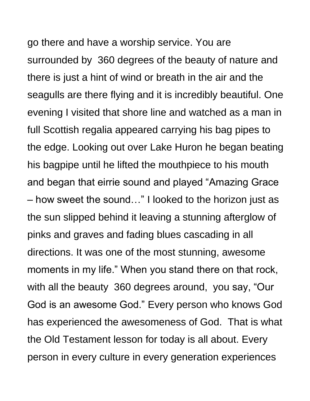go there and have a worship service. You are surrounded by 360 degrees of the beauty of nature and there is just a hint of wind or breath in the air and the seagulls are there flying and it is incredibly beautiful. One evening I visited that shore line and watched as a man in full Scottish regalia appeared carrying his bag pipes to the edge. Looking out over Lake Huron he began beating his bagpipe until he lifted the mouthpiece to his mouth and began that eirrie sound and played "Amazing Grace – how sweet the sound…" I looked to the horizon just as the sun slipped behind it leaving a stunning afterglow of pinks and graves and fading blues cascading in all directions. It was one of the most stunning, awesome moments in my life." When you stand there on that rock, with all the beauty 360 degrees around, you say, "Our God is an awesome God." Every person who knows God has experienced the awesomeness of God. That is what the Old Testament lesson for today is all about. Every person in every culture in every generation experiences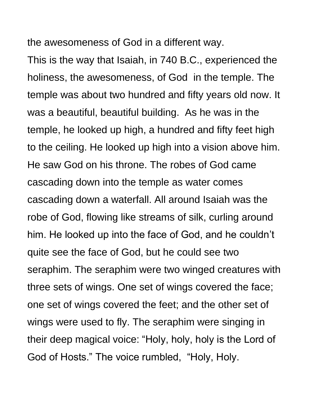the awesomeness of God in a different way.

This is the way that Isaiah, in 740 B.C., experienced the holiness, the awesomeness, of God in the temple. The temple was about two hundred and fifty years old now. It was a beautiful, beautiful building. As he was in the temple, he looked up high, a hundred and fifty feet high to the ceiling. He looked up high into a vision above him. He saw God on his throne. The robes of God came cascading down into the temple as water comes cascading down a waterfall. All around Isaiah was the robe of God, flowing like streams of silk, curling around him. He looked up into the face of God, and he couldn't quite see the face of God, but he could see two seraphim. The seraphim were two winged creatures with three sets of wings. One set of wings covered the face; one set of wings covered the feet; and the other set of wings were used to fly. The seraphim were singing in their deep magical voice: "Holy, holy, holy is the Lord of God of Hosts." The voice rumbled, "Holy, Holy.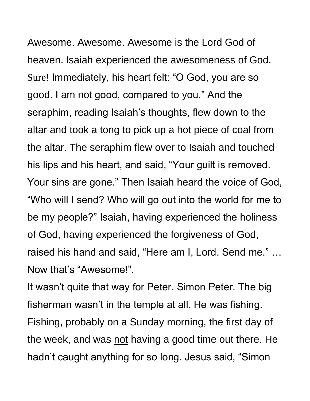Awesome. Awesome. Awesome is the Lord God of heaven. Isaiah experienced the awesomeness of God. Sure! Immediately, his heart felt: "O God, you are so good. I am not good, compared to you." And the seraphim, reading Isaiah's thoughts, flew down to the altar and took a tong to pick up a hot piece of coal from the altar. The seraphim flew over to Isaiah and touched his lips and his heart, and said, "Your guilt is removed. Your sins are gone." Then Isaiah heard the voice of God, "Who will I send? Who will go out into the world for me to be my people?" Isaiah, having experienced the holiness of God, having experienced the forgiveness of God, raised his hand and said, "Here am I, Lord. Send me." … Now that's "Awesome!".

It wasn't quite that way for Peter. Simon Peter. The big fisherman wasn't in the temple at all. He was fishing. Fishing, probably on a Sunday morning, the first day of the week, and was not having a good time out there. He hadn't caught anything for so long. Jesus said, "Simon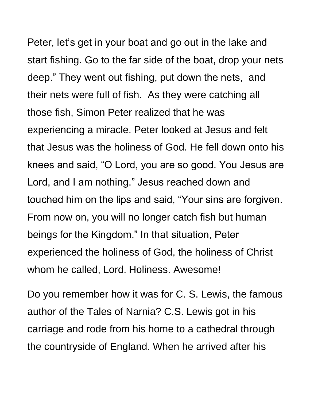Peter, let's get in your boat and go out in the lake and start fishing. Go to the far side of the boat, drop your nets deep." They went out fishing, put down the nets, and their nets were full of fish. As they were catching all those fish, Simon Peter realized that he was experiencing a miracle. Peter looked at Jesus and felt that Jesus was the holiness of God. He fell down onto his knees and said, "O Lord, you are so good. You Jesus are Lord, and I am nothing." Jesus reached down and touched him on the lips and said, "Your sins are forgiven. From now on, you will no longer catch fish but human beings for the Kingdom." In that situation, Peter experienced the holiness of God, the holiness of Christ whom he called, Lord. Holiness. Awesome!

Do you remember how it was for C. S. Lewis, the famous author of the Tales of Narnia? C.S. Lewis got in his carriage and rode from his home to a cathedral through the countryside of England. When he arrived after his